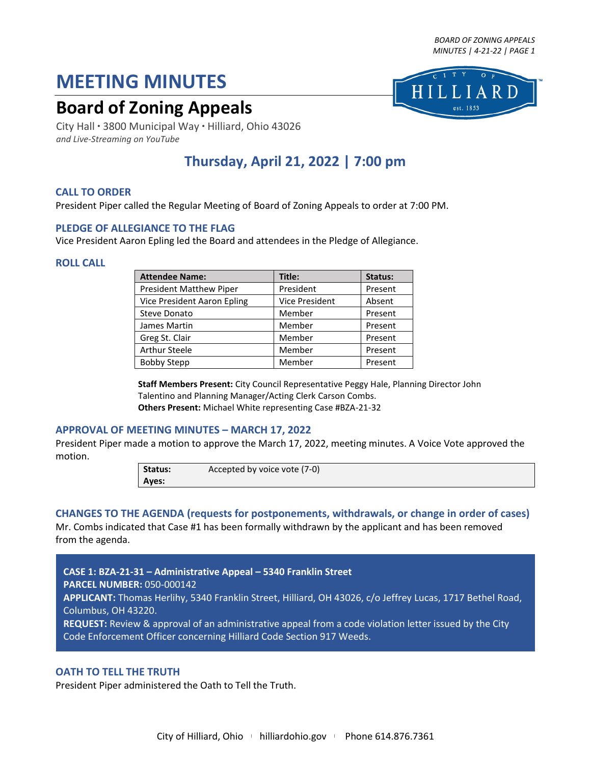*BOARD OF ZONING APPEALS MINUTES | 4-21-22 | PAGE 1*

est. 1853

# **MEETING MINUTES**

# **Board of Zoning Appeals**

City Hall ● 3800 Municipal Way ● Hilliard, Ohio 43026 *and Live-Streaming on YouTube*

# **Thursday, April 21, 2022 | 7:00 pm**

# **CALL TO ORDER**

President Piper called the Regular Meeting of Board of Zoning Appeals to order at 7:00 PM.

# **PLEDGE OF ALLEGIANCE TO THE FLAG**

Vice President Aaron Epling led the Board and attendees in the Pledge of Allegiance.

#### **ROLL CALL**

| <b>Attendee Name:</b>          | Title:         | Status: |
|--------------------------------|----------------|---------|
| <b>President Matthew Piper</b> | President      | Present |
| Vice President Aaron Epling    | Vice President | Absent  |
| Steve Donato                   | Member         | Present |
| James Martin                   | Member         | Present |
| Greg St. Clair                 | Member         | Present |
| <b>Arthur Steele</b>           | Member         | Present |
| <b>Bobby Stepp</b>             | Member         | Present |

**Staff Members Present:** City Council Representative Peggy Hale, Planning Director John Talentino and Planning Manager/Acting Clerk Carson Combs. **Others Present:** Michael White representing Case #BZA-21-32

# **APPROVAL OF MEETING MINUTES – MARCH 17, 2022**

President Piper made a motion to approve the March 17, 2022, meeting minutes. A Voice Vote approved the motion.

> **Status:** Accepted by voice vote (7-0) **Ayes:**

# **CHANGES TO THE AGENDA (requests for postponements, withdrawals, or change in order of cases)**

Mr. Combs indicated that Case #1 has been formally withdrawn by the applicant and has been removed from the agenda.

**CASE 1: BZA-21-31 – Administrative Appeal – 5340 Franklin Street PARCEL NUMBER:** 050-000142 **APPLICANT:** Thomas Herlihy, 5340 Franklin Street, Hilliard, OH 43026, c/o Jeffrey Lucas, 1717 Bethel Road, Columbus, OH 43220. **REQUEST:** Review & approval of an administrative appeal from a code violation letter issued by the City Code Enforcement Officer concerning Hilliard Code Section 917 Weeds.

# **OATH TO TELL THE TRUTH**

President Piper administered the Oath to Tell the Truth.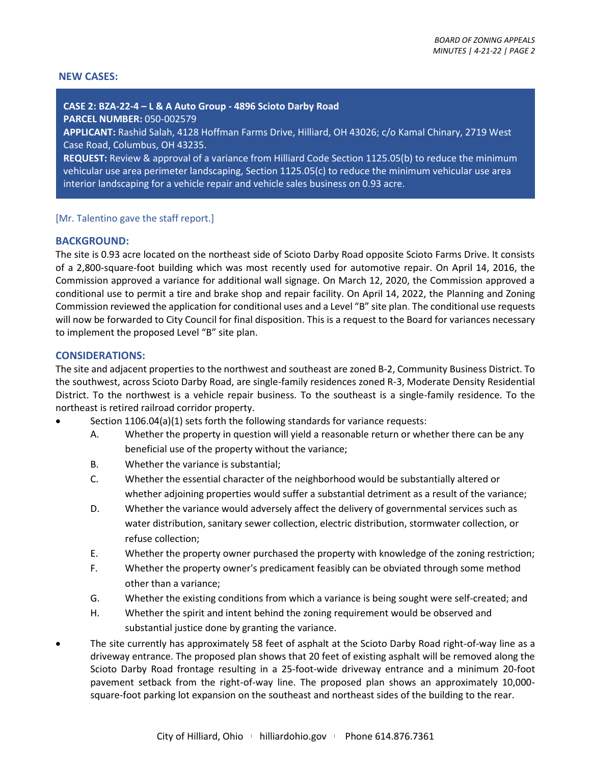#### **NEW CASES:**

#### **CASE 2: BZA-22-4 – L & A Auto Group - 4896 Scioto Darby Road**

**PARCEL NUMBER:** 050-002579

**APPLICANT:** Rashid Salah, 4128 Hoffman Farms Drive, Hilliard, OH 43026; c/o Kamal Chinary, 2719 West Case Road, Columbus, OH 43235.

**REQUEST:** Review & approval of a variance from Hilliard Code Section 1125.05(b) to reduce the minimum vehicular use area perimeter landscaping, Section 1125.05(c) to reduce the minimum vehicular use area interior landscaping for a vehicle repair and vehicle sales business on 0.93 acre.

# [Mr. Talentino gave the staff report.]

#### **BACKGROUND:**

The site is 0.93 acre located on the northeast side of Scioto Darby Road opposite Scioto Farms Drive. It consists of a 2,800-square-foot building which was most recently used for automotive repair. On April 14, 2016, the Commission approved a variance for additional wall signage. On March 12, 2020, the Commission approved a conditional use to permit a tire and brake shop and repair facility. On April 14, 2022, the Planning and Zoning Commission reviewed the application for conditional uses and a Level "B" site plan. The conditional use requests will now be forwarded to City Council for final disposition. This is a request to the Board for variances necessary to implement the proposed Level "B" site plan.

# **CONSIDERATIONS:**

The site and adjacent properties to the northwest and southeast are zoned B-2, Community Business District. To the southwest, across Scioto Darby Road, are single-family residences zoned R-3, Moderate Density Residential District. To the northwest is a vehicle repair business. To the southeast is a single-family residence. To the northeast is retired railroad corridor property.

- Section 1106.04(a)(1) sets forth the following standards for variance requests:
	- A. Whether the property in question will yield a reasonable return or whether there can be any beneficial use of the property without the variance;
	- B. Whether the variance is substantial;
	- C. Whether the essential character of the neighborhood would be substantially altered or whether adjoining properties would suffer a substantial detriment as a result of the variance;
	- D. Whether the variance would adversely affect the delivery of governmental services such as water distribution, sanitary sewer collection, electric distribution, stormwater collection, or refuse collection;
	- E. Whether the property owner purchased the property with knowledge of the zoning restriction;
	- F. Whether the property owner's predicament feasibly can be obviated through some method other than a variance;
	- G. Whether the existing conditions from which a variance is being sought were self-created; and
	- H. Whether the spirit and intent behind the zoning requirement would be observed and substantial justice done by granting the variance.
- The site currently has approximately 58 feet of asphalt at the Scioto Darby Road right-of-way line as a driveway entrance. The proposed plan shows that 20 feet of existing asphalt will be removed along the Scioto Darby Road frontage resulting in a 25-foot-wide driveway entrance and a minimum 20-foot pavement setback from the right-of-way line. The proposed plan shows an approximately 10,000 square-foot parking lot expansion on the southeast and northeast sides of the building to the rear.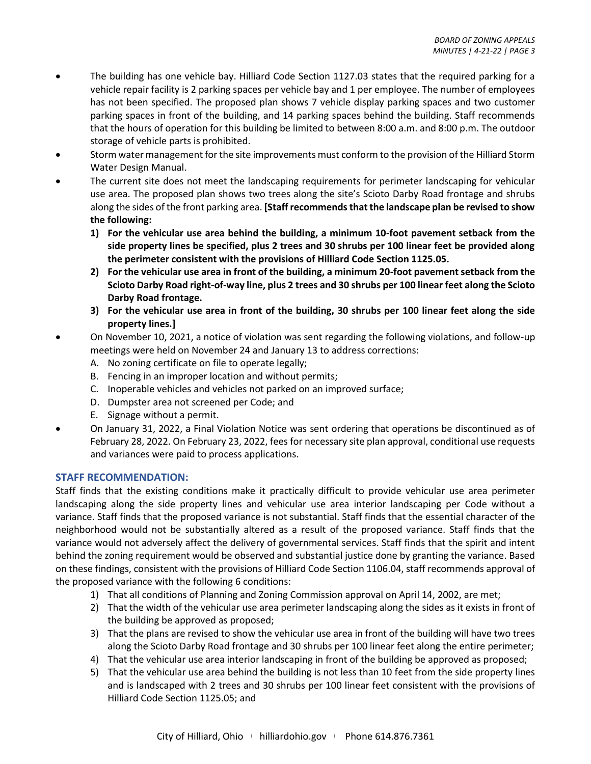- The building has one vehicle bay. Hilliard Code Section 1127.03 states that the required parking for a vehicle repair facility is 2 parking spaces per vehicle bay and 1 per employee. The number of employees has not been specified. The proposed plan shows 7 vehicle display parking spaces and two customer parking spaces in front of the building, and 14 parking spaces behind the building. Staff recommends that the hours of operation for this building be limited to between 8:00 a.m. and 8:00 p.m. The outdoor storage of vehicle parts is prohibited.
- Storm water management for the site improvements must conform to the provision of the Hilliard Storm Water Design Manual.
- The current site does not meet the landscaping requirements for perimeter landscaping for vehicular use area. The proposed plan shows two trees along the site's Scioto Darby Road frontage and shrubs along the sides of the front parking area. **[Staff recommends that the landscape plan be revised to show the following:**
	- **1) For the vehicular use area behind the building, a minimum 10-foot pavement setback from the side property lines be specified, plus 2 trees and 30 shrubs per 100 linear feet be provided along the perimeter consistent with the provisions of Hilliard Code Section 1125.05.**
	- **2) For the vehicular use area in front of the building, a minimum 20-foot pavement setback from the Scioto Darby Road right-of-way line, plus 2 trees and 30 shrubs per 100 linear feet along the Scioto Darby Road frontage.**
	- **3) For the vehicular use area in front of the building, 30 shrubs per 100 linear feet along the side property lines.]**
- On November 10, 2021, a notice of violation was sent regarding the following violations, and follow-up meetings were held on November 24 and January 13 to address corrections:
	- A. No zoning certificate on file to operate legally;
	- B. Fencing in an improper location and without permits;
	- C. Inoperable vehicles and vehicles not parked on an improved surface;
	- D. Dumpster area not screened per Code; and
	- E. Signage without a permit.
- On January 31, 2022, a Final Violation Notice was sent ordering that operations be discontinued as of February 28, 2022. On February 23, 2022, fees for necessary site plan approval, conditional use requests and variances were paid to process applications.

# **STAFF RECOMMENDATION:**

Staff finds that the existing conditions make it practically difficult to provide vehicular use area perimeter landscaping along the side property lines and vehicular use area interior landscaping per Code without a variance. Staff finds that the proposed variance is not substantial. Staff finds that the essential character of the neighborhood would not be substantially altered as a result of the proposed variance. Staff finds that the variance would not adversely affect the delivery of governmental services. Staff finds that the spirit and intent behind the zoning requirement would be observed and substantial justice done by granting the variance. Based on these findings, consistent with the provisions of Hilliard Code Section 1106.04, staff recommends approval of the proposed variance with the following 6 conditions:

- 1) That all conditions of Planning and Zoning Commission approval on April 14, 2002, are met;
- 2) That the width of the vehicular use area perimeter landscaping along the sides as it exists in front of the building be approved as proposed;
- 3) That the plans are revised to show the vehicular use area in front of the building will have two trees along the Scioto Darby Road frontage and 30 shrubs per 100 linear feet along the entire perimeter;
- 4) That the vehicular use area interior landscaping in front of the building be approved as proposed;
- 5) That the vehicular use area behind the building is not less than 10 feet from the side property lines and is landscaped with 2 trees and 30 shrubs per 100 linear feet consistent with the provisions of Hilliard Code Section 1125.05; and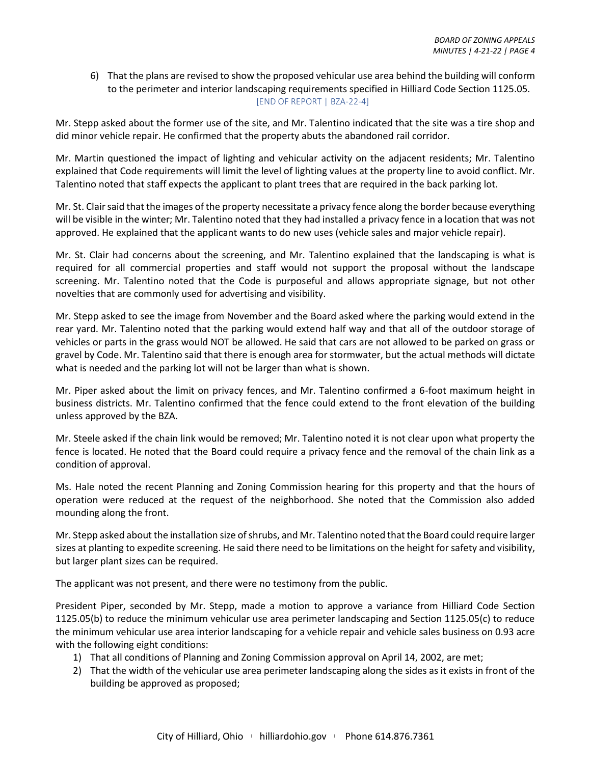6) That the plans are revised to show the proposed vehicular use area behind the building will conform to the perimeter and interior landscaping requirements specified in Hilliard Code Section 1125.05. [END OF REPORT | BZA-22-4]

Mr. Stepp asked about the former use of the site, and Mr. Talentino indicated that the site was a tire shop and did minor vehicle repair. He confirmed that the property abuts the abandoned rail corridor.

Mr. Martin questioned the impact of lighting and vehicular activity on the adjacent residents; Mr. Talentino explained that Code requirements will limit the level of lighting values at the property line to avoid conflict. Mr. Talentino noted that staff expects the applicant to plant trees that are required in the back parking lot.

Mr. St. Clair said that the images of the property necessitate a privacy fence along the border because everything will be visible in the winter; Mr. Talentino noted that they had installed a privacy fence in a location that was not approved. He explained that the applicant wants to do new uses (vehicle sales and major vehicle repair).

Mr. St. Clair had concerns about the screening, and Mr. Talentino explained that the landscaping is what is required for all commercial properties and staff would not support the proposal without the landscape screening. Mr. Talentino noted that the Code is purposeful and allows appropriate signage, but not other novelties that are commonly used for advertising and visibility.

Mr. Stepp asked to see the image from November and the Board asked where the parking would extend in the rear yard. Mr. Talentino noted that the parking would extend half way and that all of the outdoor storage of vehicles or parts in the grass would NOT be allowed. He said that cars are not allowed to be parked on grass or gravel by Code. Mr. Talentino said that there is enough area for stormwater, but the actual methods will dictate what is needed and the parking lot will not be larger than what is shown.

Mr. Piper asked about the limit on privacy fences, and Mr. Talentino confirmed a 6-foot maximum height in business districts. Mr. Talentino confirmed that the fence could extend to the front elevation of the building unless approved by the BZA.

Mr. Steele asked if the chain link would be removed; Mr. Talentino noted it is not clear upon what property the fence is located. He noted that the Board could require a privacy fence and the removal of the chain link as a condition of approval.

Ms. Hale noted the recent Planning and Zoning Commission hearing for this property and that the hours of operation were reduced at the request of the neighborhood. She noted that the Commission also added mounding along the front.

Mr. Stepp asked about the installation size of shrubs, and Mr. Talentino noted that the Board could require larger sizes at planting to expedite screening. He said there need to be limitations on the height for safety and visibility, but larger plant sizes can be required.

The applicant was not present, and there were no testimony from the public.

President Piper, seconded by Mr. Stepp, made a motion to approve a variance from Hilliard Code Section 1125.05(b) to reduce the minimum vehicular use area perimeter landscaping and Section 1125.05(c) to reduce the minimum vehicular use area interior landscaping for a vehicle repair and vehicle sales business on 0.93 acre with the following eight conditions:

- 1) That all conditions of Planning and Zoning Commission approval on April 14, 2002, are met;
- 2) That the width of the vehicular use area perimeter landscaping along the sides as it exists in front of the building be approved as proposed;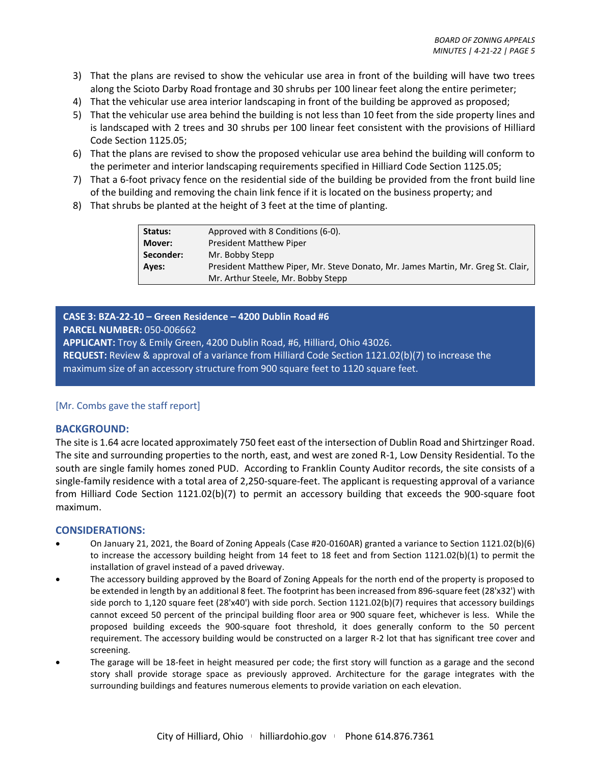- 3) That the plans are revised to show the vehicular use area in front of the building will have two trees along the Scioto Darby Road frontage and 30 shrubs per 100 linear feet along the entire perimeter;
- 4) That the vehicular use area interior landscaping in front of the building be approved as proposed;
- 5) That the vehicular use area behind the building is not less than 10 feet from the side property lines and is landscaped with 2 trees and 30 shrubs per 100 linear feet consistent with the provisions of Hilliard Code Section 1125.05;
- 6) That the plans are revised to show the proposed vehicular use area behind the building will conform to the perimeter and interior landscaping requirements specified in Hilliard Code Section 1125.05;
- 7) That a 6-foot privacy fence on the residential side of the building be provided from the front build line of the building and removing the chain link fence if it is located on the business property; and
- 8) That shrubs be planted at the height of 3 feet at the time of planting.

| Status:   | Approved with 8 Conditions (6-0).                                                |
|-----------|----------------------------------------------------------------------------------|
| Mover:    | <b>President Matthew Piper</b>                                                   |
| Seconder: | Mr. Bobby Stepp                                                                  |
| Aves:     | President Matthew Piper, Mr. Steve Donato, Mr. James Martin, Mr. Greg St. Clair, |
|           | Mr. Arthur Steele, Mr. Bobby Stepp                                               |

# **CASE 3: BZA-22-10 – Green Residence – 4200 Dublin Road #6**

**PARCEL NUMBER:** 050-006662

**APPLICANT:** Troy & Emily Green, 4200 Dublin Road, #6, Hilliard, Ohio 43026.

**REQUEST:** Review & approval of a variance from Hilliard Code Section 1121.02(b)(7) to increase the maximum size of an accessory structure from 900 square feet to 1120 square feet.

# [Mr. Combs gave the staff report]

# **BACKGROUND:**

The site is 1.64 acre located approximately 750 feet east of the intersection of Dublin Road and Shirtzinger Road. The site and surrounding properties to the north, east, and west are zoned R-1, Low Density Residential. To the south are single family homes zoned PUD. According to Franklin County Auditor records, the site consists of a single-family residence with a total area of 2,250-square-feet. The applicant is requesting approval of a variance from Hilliard Code Section 1121.02(b)(7) to permit an accessory building that exceeds the 900-square foot maximum.

# **CONSIDERATIONS:**

- On January 21, 2021, the Board of Zoning Appeals (Case #20-0160AR) granted a variance to Section 1121.02(b)(6) to increase the accessory building height from 14 feet to 18 feet and from Section 1121.02(b)(1) to permit the installation of gravel instead of a paved driveway.
- The accessory building approved by the Board of Zoning Appeals for the north end of the property is proposed to be extended in length by an additional 8 feet. The footprint has been increased from 896-square feet (28'x32') with side porch to 1,120 square feet (28'x40') with side porch. Section 1121.02(b)(7) requires that accessory buildings cannot exceed 50 percent of the principal building floor area or 900 square feet, whichever is less. While the proposed building exceeds the 900-square foot threshold, it does generally conform to the 50 percent requirement. The accessory building would be constructed on a larger R-2 lot that has significant tree cover and screening.
- The garage will be 18-feet in height measured per code; the first story will function as a garage and the second story shall provide storage space as previously approved. Architecture for the garage integrates with the surrounding buildings and features numerous elements to provide variation on each elevation.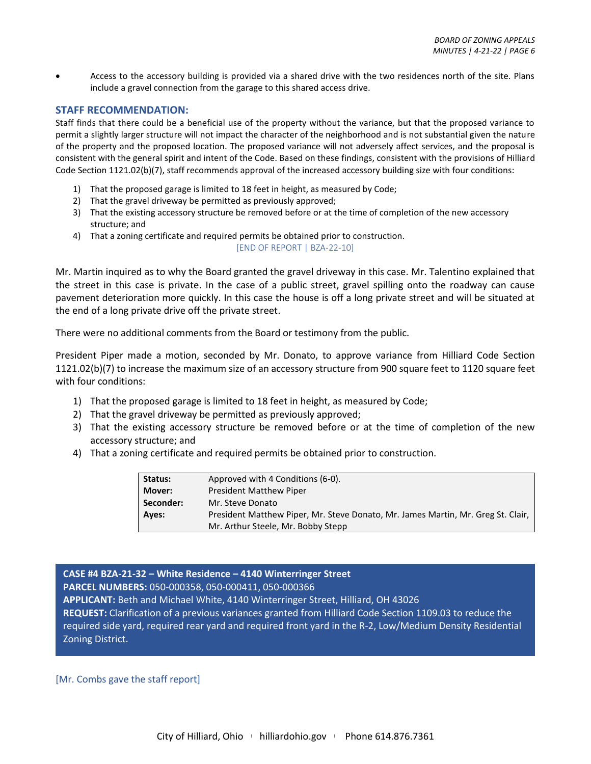• Access to the accessory building is provided via a shared drive with the two residences north of the site. Plans include a gravel connection from the garage to this shared access drive.

# **STAFF RECOMMENDATION:**

Staff finds that there could be a beneficial use of the property without the variance, but that the proposed variance to permit a slightly larger structure will not impact the character of the neighborhood and is not substantial given the nature of the property and the proposed location. The proposed variance will not adversely affect services, and the proposal is consistent with the general spirit and intent of the Code. Based on these findings, consistent with the provisions of Hilliard Code Section 1121.02(b)(7), staff recommends approval of the increased accessory building size with four conditions:

- 1) That the proposed garage is limited to 18 feet in height, as measured by Code;
- 2) That the gravel driveway be permitted as previously approved;
- 3) That the existing accessory structure be removed before or at the time of completion of the new accessory structure; and
- 4) That a zoning certificate and required permits be obtained prior to construction.

```
[END OF REPORT | BZA-22-10]
```
Mr. Martin inquired as to why the Board granted the gravel driveway in this case. Mr. Talentino explained that the street in this case is private. In the case of a public street, gravel spilling onto the roadway can cause pavement deterioration more quickly. In this case the house is off a long private street and will be situated at the end of a long private drive off the private street.

There were no additional comments from the Board or testimony from the public.

President Piper made a motion, seconded by Mr. Donato, to approve variance from Hilliard Code Section 1121.02(b)(7) to increase the maximum size of an accessory structure from 900 square feet to 1120 square feet with four conditions:

- 1) That the proposed garage is limited to 18 feet in height, as measured by Code;
- 2) That the gravel driveway be permitted as previously approved;
- 3) That the existing accessory structure be removed before or at the time of completion of the new accessory structure; and
- 4) That a zoning certificate and required permits be obtained prior to construction.

| Status:   | Approved with 4 Conditions (6-0).                                                |
|-----------|----------------------------------------------------------------------------------|
| Mover:    | <b>President Matthew Piper</b>                                                   |
| Seconder: | Mr. Steve Donato                                                                 |
| Ayes:     | President Matthew Piper, Mr. Steve Donato, Mr. James Martin, Mr. Greg St. Clair, |
|           | Mr. Arthur Steele, Mr. Bobby Stepp                                               |

# **CASE #4 BZA-21-32 – White Residence – 4140 Winterringer Street**

**PARCEL NUMBERS:** 050-000358, 050-000411, 050-000366

**APPLICANT:** Beth and Michael White, 4140 Winterringer Street, Hilliard, OH 43026

**REQUEST:** Clarification of a previous variances granted from Hilliard Code Section 1109.03 to reduce the required side yard, required rear yard and required front yard in the R-2, Low/Medium Density Residential Zoning District.

# [Mr. Combs gave the staff report]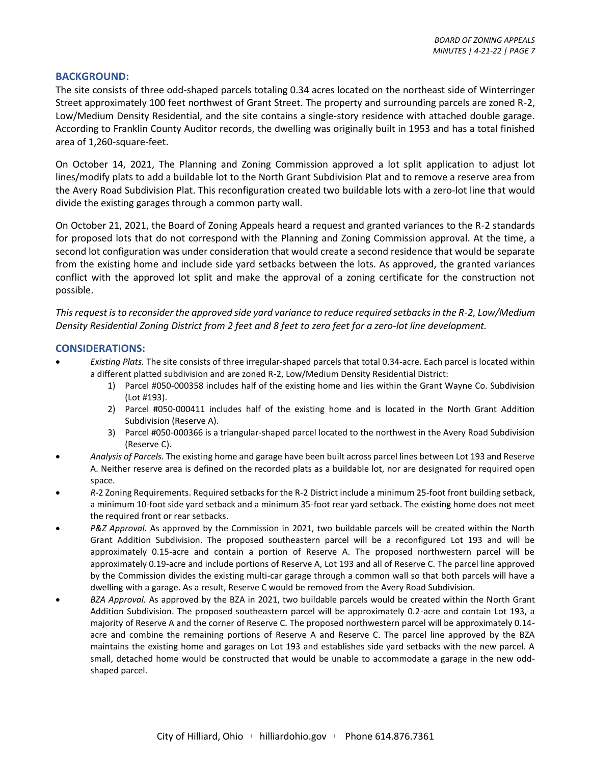# **BACKGROUND:**

The site consists of three odd-shaped parcels totaling 0.34 acres located on the northeast side of Winterringer Street approximately 100 feet northwest of Grant Street. The property and surrounding parcels are zoned R-2, Low/Medium Density Residential, and the site contains a single-story residence with attached double garage. According to Franklin County Auditor records, the dwelling was originally built in 1953 and has a total finished area of 1,260-square-feet.

On October 14, 2021, The Planning and Zoning Commission approved a lot split application to adjust lot lines/modify plats to add a buildable lot to the North Grant Subdivision Plat and to remove a reserve area from the Avery Road Subdivision Plat. This reconfiguration created two buildable lots with a zero-lot line that would divide the existing garages through a common party wall.

On October 21, 2021, the Board of Zoning Appeals heard a request and granted variances to the R-2 standards for proposed lots that do not correspond with the Planning and Zoning Commission approval. At the time, a second lot configuration was under consideration that would create a second residence that would be separate from the existing home and include side yard setbacks between the lots. As approved, the granted variances conflict with the approved lot split and make the approval of a zoning certificate for the construction not possible.

*This request is to reconsider the approved side yard variance to reduce required setbacks in the R-2, Low/Medium Density Residential Zoning District from 2 feet and 8 feet to zero feet for a zero-lot line development.*

# **CONSIDERATIONS:**

- *Existing Plats.* The site consists of three irregular-shaped parcels that total 0.34-acre. Each parcel is located within a different platted subdivision and are zoned R-2, Low/Medium Density Residential District:
	- 1) Parcel #050-000358 includes half of the existing home and lies within the Grant Wayne Co. Subdivision (Lot #193).
	- 2) Parcel #050-000411 includes half of the existing home and is located in the North Grant Addition Subdivision (Reserve A).
	- 3) Parcel #050-000366 is a triangular-shaped parcel located to the northwest in the Avery Road Subdivision (Reserve C).
- *Analysis of Parcels.* The existing home and garage have been built across parcel lines between Lot 193 and Reserve A. Neither reserve area is defined on the recorded plats as a buildable lot, nor are designated for required open space.
- *R-*2 Zoning Requirements. Required setbacks for the R-2 District include a minimum 25-foot front building setback, a minimum 10-foot side yard setback and a minimum 35-foot rear yard setback. The existing home does not meet the required front or rear setbacks.
- *P&Z Approval.* As approved by the Commission in 2021, two buildable parcels will be created within the North Grant Addition Subdivision. The proposed southeastern parcel will be a reconfigured Lot 193 and will be approximately 0.15-acre and contain a portion of Reserve A. The proposed northwestern parcel will be approximately 0.19-acre and include portions of Reserve A, Lot 193 and all of Reserve C. The parcel line approved by the Commission divides the existing multi-car garage through a common wall so that both parcels will have a dwelling with a garage. As a result, Reserve C would be removed from the Avery Road Subdivision.
- *BZA Approval.* As approved by the BZA in 2021, two buildable parcels would be created within the North Grant Addition Subdivision. The proposed southeastern parcel will be approximately 0.2-acre and contain Lot 193, a majority of Reserve A and the corner of Reserve C. The proposed northwestern parcel will be approximately 0.14 acre and combine the remaining portions of Reserve A and Reserve C. The parcel line approved by the BZA maintains the existing home and garages on Lot 193 and establishes side yard setbacks with the new parcel. A small, detached home would be constructed that would be unable to accommodate a garage in the new oddshaped parcel.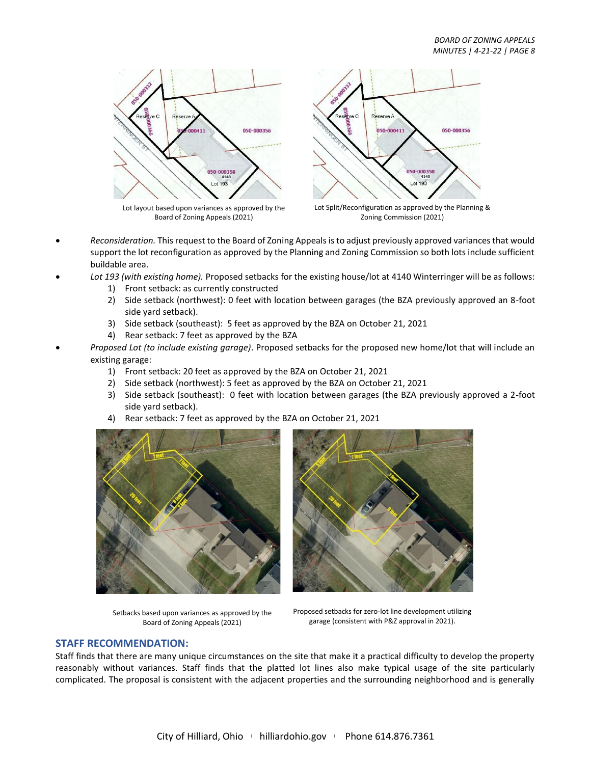

Lot layout based upon variances as approved by the Board of Zoning Appeals (2021)



Lot Split/Reconfiguration as approved by the Planning & Zoning Commission (2021)

- *Reconsideration.* This request to the Board of Zoning Appeals is to adjust previously approved variances that would support the lot reconfiguration as approved by the Planning and Zoning Commission so both lots include sufficient buildable area.
- *Lot 193 (with existing home).* Proposed setbacks for the existing house/lot at 4140 Winterringer will be as follows:
	- 1) Front setback: as currently constructed
	- 2) Side setback (northwest): 0 feet with location between garages (the BZA previously approved an 8-foot side yard setback).
	- 3) Side setback (southeast): 5 feet as approved by the BZA on October 21, 2021
	- 4) Rear setback: 7 feet as approved by the BZA
- *Proposed Lot (to include existing garage)*. Proposed setbacks for the proposed new home/lot that will include an existing garage:
	- 1) Front setback: 20 feet as approved by the BZA on October 21, 2021
	- 2) Side setback (northwest): 5 feet as approved by the BZA on October 21, 2021
	- 3) Side setback (southeast): 0 feet with location between garages (the BZA previously approved a 2-foot side yard setback).
	- 4) Rear setback: 7 feet as approved by the BZA on October 21, 2021



Setbacks based upon variances as approved by the Board of Zoning Appeals (2021)



Proposed setbacks for zero-lot line development utilizing garage (consistent with P&Z approval in 2021).

# **STAFF RECOMMENDATION:**

Staff finds that there are many unique circumstances on the site that make it a practical difficulty to develop the property reasonably without variances. Staff finds that the platted lot lines also make typical usage of the site particularly complicated. The proposal is consistent with the adjacent properties and the surrounding neighborhood and is generally